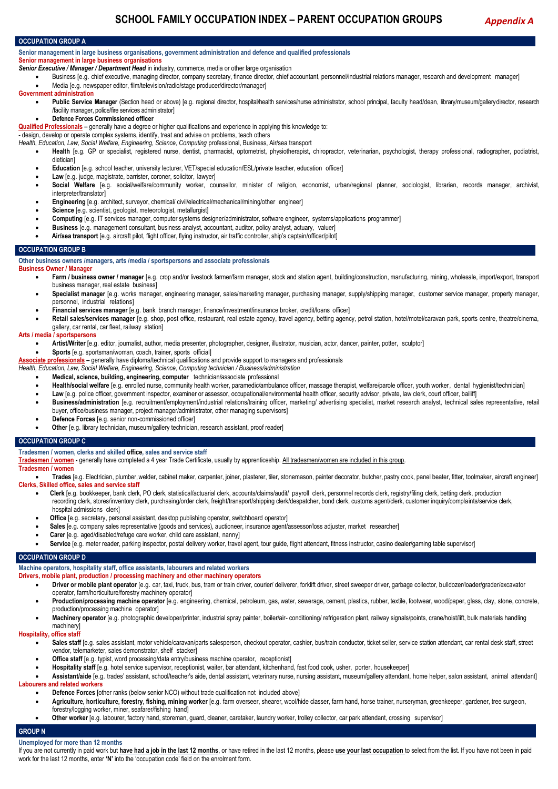# **OCCUPATION GROUP A**

**Senior management in large business organisations, government administration and defence and qualified professionals Senior management in large business organisations**

- *Senior Executive / Manager / Department Head* in industry, commerce, media or other large organisation
- Business [e.g. chief executive, managing director, company secretary, finance director, chief accountant, personnel/industrial relations manager, research and development manager]
- Media [e.g. newspaper editor, film/television/radio/stage producer/director/manager]
- **Government administration**
	- Public Service Manager (Section head or above) [e.g. regional director, hospital/health services/nurse administrator, school principal, faculty head/dean, library/museum/gallerydirector, research /facility manager, police/fire services administrator]
	- **Defence Forces Commissioned officer**
- **Qualified Professionals –** generally have a degree or higher qualifications and experience in applying this knowledge to:

- design, develop or operate complex systems, identify, treat and advise on problems, teach others

- *Health, Education, Law, Social Welfare, Engineering, Science, Computing* professional, Business, Air/sea transport
	- **Health** [e.g. GP or specialist, registered nurse, dentist, pharmacist, optometrist, physiotherapist, chiropractor, veterinarian, psychologist, therapy professional, radiographer, podiatrist, dietician]
	- **Education** [e.g. school teacher, university lecturer, VET/special education/ESL/private teacher, education officer]
	- Law  $[e, q]$ , judge, magistrate, barrister, coroner, solicitor, lawyer]
	- Social Welfare [e.g. social/welfare/community worker, counsellor, minister of religion, economist, urban/regional planner, sociologist, librarian, records manager, archivist, interpreter/translator]
	- **Engineering** [e.g. architect, surveyor, chemical/ civil/electrical/mechanical/mining/other engineer]
	- **Science** [e.g. scientist, geologist, meteorologist, metallurgist]
	- **Computing** [e.g. IT services manager, computer systems designer/administrator, software engineer, systems/applications programmer]
	- **Business** [e.g. management consultant, business analyst, accountant, auditor, policy analyst, actuary, valuer]
	- **Air/sea transport** [e.g. aircraft pilot, flight officer, flying instructor, air traffic controller, ship's captain/officer/pilot]

## **OCCUPATION GROUP B**

**Other business owners /managers, arts /media / sportspersons and associate professionals**

## **Business Owner / Manager**

- **Farm / business owner / manager** [e.g. crop and/or livestock farmer/farm manager, stock and station agent, building/construction, manufacturing, mining, wholesale, import/export, transport business manager, real estate business]
- Specialist manager [e.g. works manager, engineering manager, sales/marketing manager, purchasing manager, supply/shipping manager, customer service manager, property manager, personnel, industrial relations]
- **Financial services manager** [e.g. bank branch manager, finance/investment/insurance broker, credit/loans officer]
- **Retail sales/services manager** [e.g. shop, post office, restaurant, real estate agency, travel agency, betting agency, petrol station, hotel/motel/caravan park, sports centre, theatre/cinema gallery, car rental, car fleet, railway station]

# **Arts / media / sportspersons**

- **Artist/Writer** [e.g. editor, journalist, author, media presenter, photographer, designer, illustrator, musician, actor, dancer, painter, potter, sculptor]
- **Sports** [e.g. sportsman/woman, coach, trainer, sports official]

**Associate professionals –** generally have diploma/technical qualifications and provide support to managers and professionals

*Health, Education, Law, Social Welfare, Engineering, Science, Computing technician / Business/administration*

- **Medical, science, building, engineering, computer** technician/associate professional
- **Health/social welfare** [e.g. enrolled nurse, community health worker, paramedic/ambulance officer, massage therapist, welfare/parole officer, youth worker, dental hygienist/technician]
- Law [e.g. police officer, government inspector, examiner or assessor, occupational/environmental health officer, security advisor, private, law clerk, court officer, bailiff]
- Business/administration [e.g. recruitment/employment/industrial relations/training officer, marketing/ advertising specialist, market research analyst, technical sales representative, retail buyer, office/business manager, project manager/administrator, other managing supervisors]
- **Defence Forces** [e.g. senior non-commissioned officer]
- **Other** [e.g. library technician, museum/gallery technician, research assistant, proof reader]

# **OCCUPATION GROUP C**

**Tradesmen / women, clerks and skilled office, sales and service staff**

**Tradesmen / women -** generally have completed a 4 year Trade Certificate, usually by apprenticeship. All tradesmen/women are included in this group.

#### **Tradesmen / women**

 **Trades** [e.g. Electrician, plumber,welder, cabinet maker, carpenter, joiner, plasterer, tiler, stonemason, painter decorator, butcher, pastry cook, panel beater, fitter, toolmaker, aircraft engineer] **Clerks, Skilled office, sales and service staff**

- Clerk [e.g. bookkeeper, bank clerk, PO clerk, statistical/actuarial clerk, accounts/claims/audit/ payroll clerk, personnel records clerk, registry/filing clerk, betting clerk, production recording clerk, stores/inventory clerk, purchasing/order clerk, freight/transport/shipping clerk/despatcher, bond clerk, customs agent/clerk, customer inquiry/complaints/service clerk, hospital admissions clerk]
- **Office** [e.g. secretary, personal assistant, desktop publishing operator, switchboard operator]
- Sales [e.g. company sales representative (goods and services), auctioneer, insurance agent/assessor/loss adjuster, market researcher]
- **Carer** [e.g. aged/disabled/refuge care worker, child care assistant, nanny]
- Service [e.g. meter reader, parking inspector, postal delivery worker, travel agent, tour guide, flight attendant, fitness instructor, casino dealer/gaming table supervisor]

# **OCCUPATION GROUP D**

# **Machine operators, hospitality staff, office assistants, labourers and related workers**

- **Drivers, mobile plant, production / processing machinery and other machinery operators**
	- Driver or mobile plant operator [e.g. car, taxi, truck, bus, tram or train driver, courier/ deliverer, forklift driver, street sweeper driver, garbage collector, bulldozer/loader/grader/excavator operator, farm/horticulture/forestry machinery operator]
	- **Production/processing machine operator** [e.g. engineering, chemical, petroleum, gas, water, sewerage, cement, plastics, rubber, textile, footwear, wood/paper, glass, clay, stone, concrete, production/processing machine operator]
	- **Machinery operator** [e.g. photographic developer/printer, industrial spray painter, boiler/air- conditioning/ refrigeration plant, railway signals/points, crane/hoist/lift, bulk materials handling machinery

## **Hospitality, office staff**

- Sales staff [e.g. sales assistant, motor vehicle/caravan/parts salesperson, checkout operator, cashier, bus/train conductor, ticket seller, service station attendant, car rental desk staff, street vendor, telemarketer, sales demonstrator, shelf stacker]
- **Office staff** [e.g. typist, word processing/data entry/business machine operator, receptionist]
- **Hospitality staff** [e.g. hotel service supervisor, receptionist, waiter, bar attendant, kitchenhand, fast food cook, usher, porter, housekeeper]
- **Assistant/aide** [e.g. trades' assistant, school/teacher's aide, dental assistant, veterinary nurse, nursing assistant, museum/gallery attendant, home helper, salon assistant, animal attendant] **Labourers and related workers**
	- **Defence Forces** [other ranks (below senior NCO) without trade qualification not included above]
	- Agriculture, horticulture, forestry, fishing, mining worker [e.g. farm overseer, shearer, wool/hide classer, farm hand, horse trainer, nurseryman, greenkeeper, gardener, tree surgeon,
	- forestry/logging worker, miner, seafarer/fishing hand]
	- **Other worker** [e.g. labourer, factory hand, storeman, guard, cleaner, caretaker, laundry worker, trolley collector, car park attendant, crossing supervisor]

# **GROUP N**

**Unemployed for more than 12 months**

If you are not currently in paid work but **have had a job in the last 12 months**, or have retired in the last 12 months, please **use your last occupation** to select from the list. If you have not been in paid work for the last 12 months, enter **'N'** into the 'occupation code' field on the enrolment form.